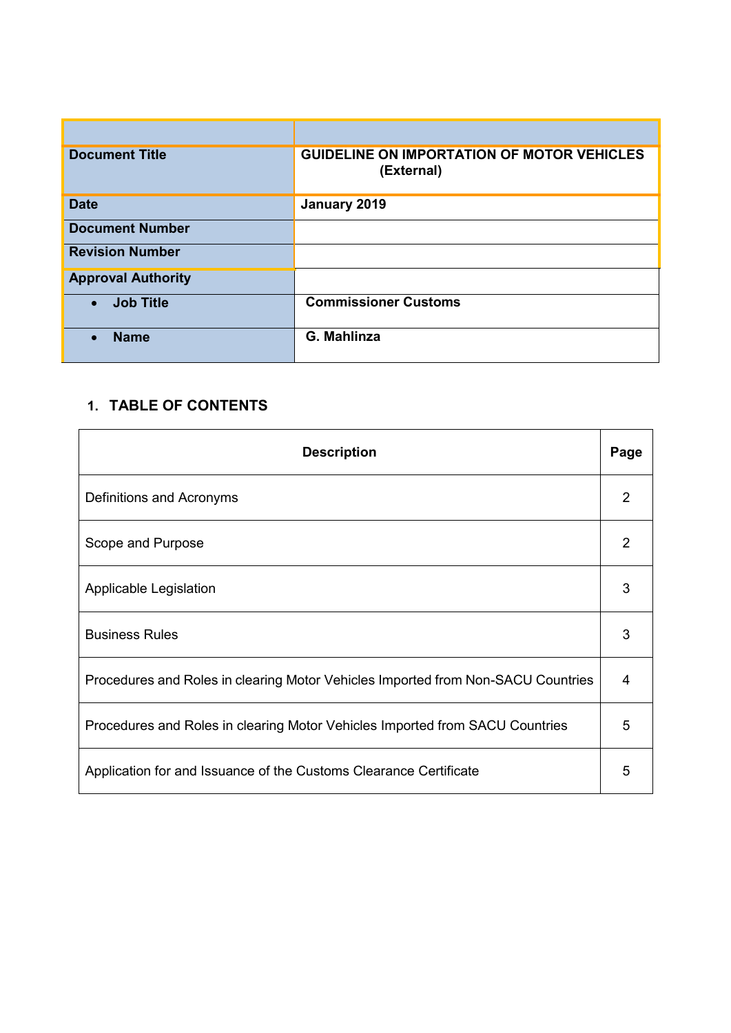| <b>Document Title</b>         | <b>GUIDELINE ON IMPORTATION OF MOTOR VEHICLES</b><br>(External) |
|-------------------------------|-----------------------------------------------------------------|
| <b>Date</b>                   | January 2019                                                    |
| <b>Document Number</b>        |                                                                 |
| <b>Revision Number</b>        |                                                                 |
| <b>Approval Authority</b>     |                                                                 |
| <b>Job Title</b><br>$\bullet$ | <b>Commissioner Customs</b>                                     |
| <b>Name</b>                   | G. Mahlinza                                                     |

# **1. TABLE OF CONTENTS**

| <b>Description</b>                                                               | Page           |
|----------------------------------------------------------------------------------|----------------|
| Definitions and Acronyms                                                         | $\overline{2}$ |
| Scope and Purpose                                                                | 2              |
| Applicable Legislation                                                           | 3              |
| <b>Business Rules</b>                                                            | 3              |
| Procedures and Roles in clearing Motor Vehicles Imported from Non-SACU Countries | 4              |
| Procedures and Roles in clearing Motor Vehicles Imported from SACU Countries     | 5              |
| Application for and Issuance of the Customs Clearance Certificate                | 5              |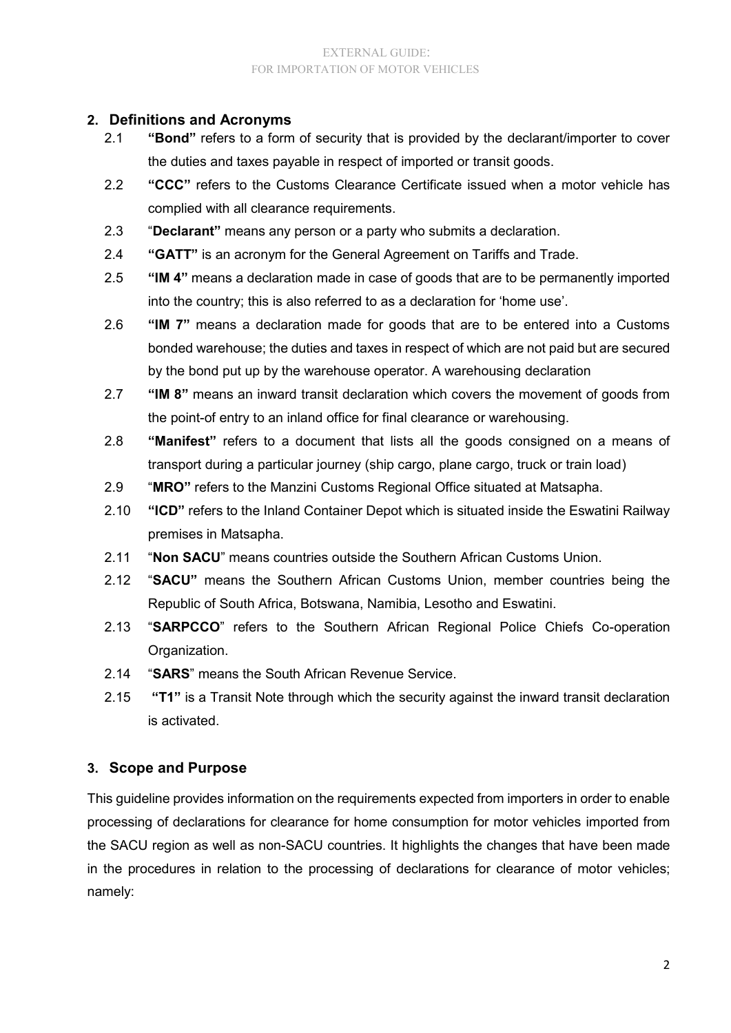### **2. Definitions and Acronyms**

- 2.1 **"Bond"** refers to a form of security that is provided by the declarant/importer to cover the duties and taxes payable in respect of imported or transit goods.
- 2.2 **"CCC"** refers to the Customs Clearance Certificate issued when a motor vehicle has complied with all clearance requirements.
- 2.3 "**Declarant"** means any person or a party who submits a declaration.
- 2.4 **"GATT"** is an acronym for the General Agreement on Tariffs and Trade.
- 2.5 **"IM 4"** means a declaration made in case of goods that are to be permanently imported into the country; this is also referred to as a declaration for 'home use'.
- 2.6 **"IM 7"** means a declaration made for goods that are to be entered into a Customs bonded warehouse; the duties and taxes in respect of which are not paid but are secured by the bond put up by the warehouse operator. A warehousing declaration
- 2.7 **"IM 8"** means an inward transit declaration which covers the movement of goods from the point-of entry to an inland office for final clearance or warehousing.
- 2.8 **"Manifest"** refers to a document that lists all the goods consigned on a means of transport during a particular journey (ship cargo, plane cargo, truck or train load)
- 2.9 "**MRO"** refers to the Manzini Customs Regional Office situated at Matsapha.
- 2.10 **"ICD"** refers to the Inland Container Depot which is situated inside the Eswatini Railway premises in Matsapha.
- 2.11 "**Non SACU**" means countries outside the Southern African Customs Union.
- 2.12 "**SACU"** means the Southern African Customs Union, member countries being the Republic of South Africa, Botswana, Namibia, Lesotho and Eswatini.
- 2.13 "**SARPCCO**" refers to the Southern African Regional Police Chiefs Co-operation Organization.
- 2.14 "**SARS**" means the South African Revenue Service.
- 2.15 **"T1"** is a Transit Note through which the security against the inward transit declaration is activated.

# **3. Scope and Purpose**

This guideline provides information on the requirements expected from importers in order to enable processing of declarations for clearance for home consumption for motor vehicles imported from the SACU region as well as non-SACU countries. It highlights the changes that have been made in the procedures in relation to the processing of declarations for clearance of motor vehicles; namely: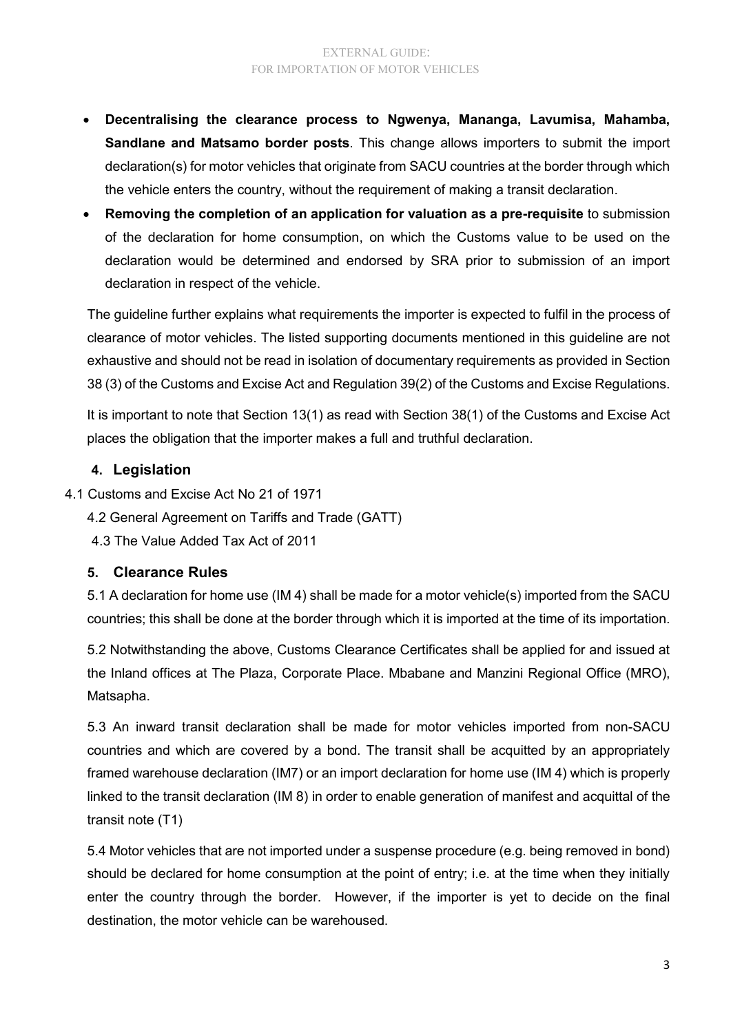- **Decentralising the clearance process to Ngwenya, Mananga, Lavumisa, Mahamba, Sandlane and Matsamo border posts**. This change allows importers to submit the import declaration(s) for motor vehicles that originate from SACU countries at the border through which the vehicle enters the country, without the requirement of making a transit declaration.
- **Removing the completion of an application for valuation as a pre-requisite** to submission of the declaration for home consumption, on which the Customs value to be used on the declaration would be determined and endorsed by SRA prior to submission of an import declaration in respect of the vehicle.

The guideline further explains what requirements the importer is expected to fulfil in the process of clearance of motor vehicles. The listed supporting documents mentioned in this guideline are not exhaustive and should not be read in isolation of documentary requirements as provided in Section 38 (3) of the Customs and Excise Act and Regulation 39(2) of the Customs and Excise Regulations.

It is important to note that Section 13(1) as read with Section 38(1) of the Customs and Excise Act places the obligation that the importer makes a full and truthful declaration.

### **4. Legislation**

- 4.1 Customs and Excise Act No 21 of 1971
	- 4.2 General Agreement on Tariffs and Trade (GATT)
	- 4.3 The Value Added Tax Act of 2011

### **5. Clearance Rules**

5.1 A declaration for home use (IM 4) shall be made for a motor vehicle(s) imported from the SACU countries; this shall be done at the border through which it is imported at the time of its importation.

5.2 Notwithstanding the above, Customs Clearance Certificates shall be applied for and issued at the Inland offices at The Plaza, Corporate Place. Mbabane and Manzini Regional Office (MRO), Matsapha.

5.3 An inward transit declaration shall be made for motor vehicles imported from non-SACU countries and which are covered by a bond. The transit shall be acquitted by an appropriately framed warehouse declaration (IM7) or an import declaration for home use (IM 4) which is properly linked to the transit declaration (IM 8) in order to enable generation of manifest and acquittal of the transit note (T1)

5.4 Motor vehicles that are not imported under a suspense procedure (e.g. being removed in bond) should be declared for home consumption at the point of entry; i.e. at the time when they initially enter the country through the border. However, if the importer is yet to decide on the final destination, the motor vehicle can be warehoused.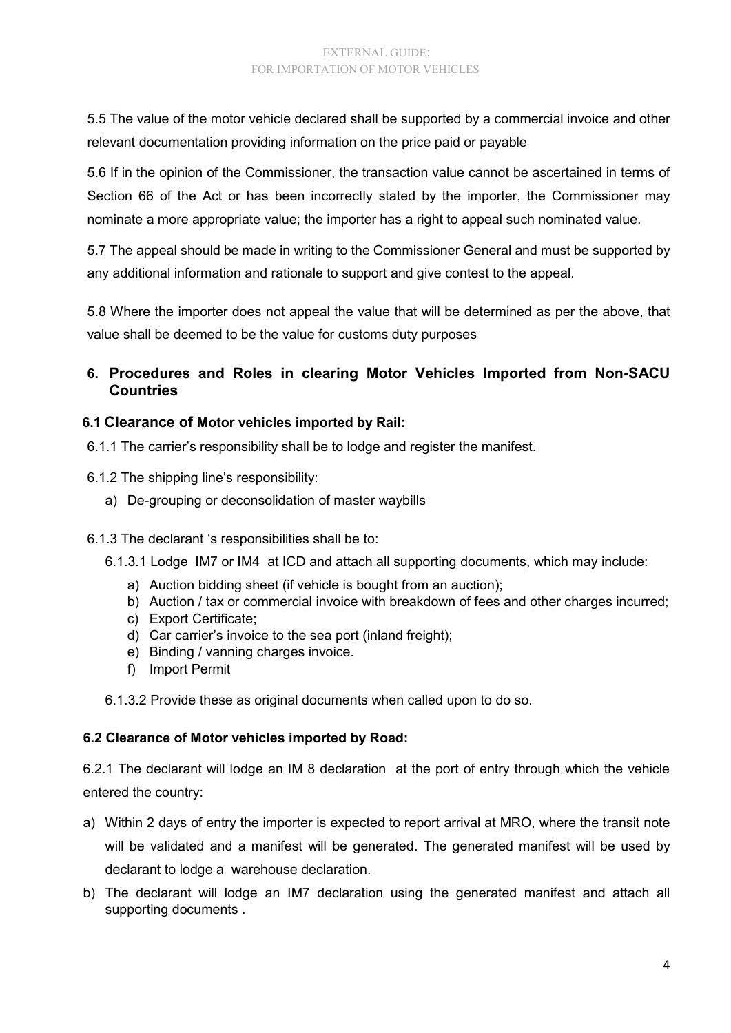5.5 The value of the motor vehicle declared shall be supported by a commercial invoice and other relevant documentation providing information on the price paid or payable

5.6 If in the opinion of the Commissioner, the transaction value cannot be ascertained in terms of Section 66 of the Act or has been incorrectly stated by the importer, the Commissioner may nominate a more appropriate value; the importer has a right to appeal such nominated value.

5.7 The appeal should be made in writing to the Commissioner General and must be supported by any additional information and rationale to support and give contest to the appeal.

5.8 Where the importer does not appeal the value that will be determined as per the above, that value shall be deemed to be the value for customs duty purposes

### **6. Procedures and Roles in clearing Motor Vehicles Imported from Non-SACU Countries**

### **6.1 Clearance of Motor vehicles imported by Rail:**

- 6.1.1 The carrier's responsibility shall be to lodge and register the manifest.
- 6.1.2 The shipping line's responsibility:
	- a) De-grouping or deconsolidation of master waybills
- 6.1.3 The declarant 's responsibilities shall be to:
	- 6.1.3.1 Lodge IM7 or IM4 at ICD and attach all supporting documents, which may include:
		- a) Auction bidding sheet (if vehicle is bought from an auction);
		- b) Auction / tax or commercial invoice with breakdown of fees and other charges incurred;
		- c) Export Certificate;
		- d) Car carrier's invoice to the sea port (inland freight);
		- e) Binding / vanning charges invoice.
		- f) Import Permit

6.1.3.2 Provide these as original documents when called upon to do so.

#### **6.2 Clearance of Motor vehicles imported by Road:**

6.2.1 The declarant will lodge an IM 8 declaration at the port of entry through which the vehicle entered the country:

- a) Within 2 days of entry the importer is expected to report arrival at MRO, where the transit note will be validated and a manifest will be generated. The generated manifest will be used by declarant to lodge a warehouse declaration.
- b) The declarant will lodge an IM7 declaration using the generated manifest and attach all supporting documents .